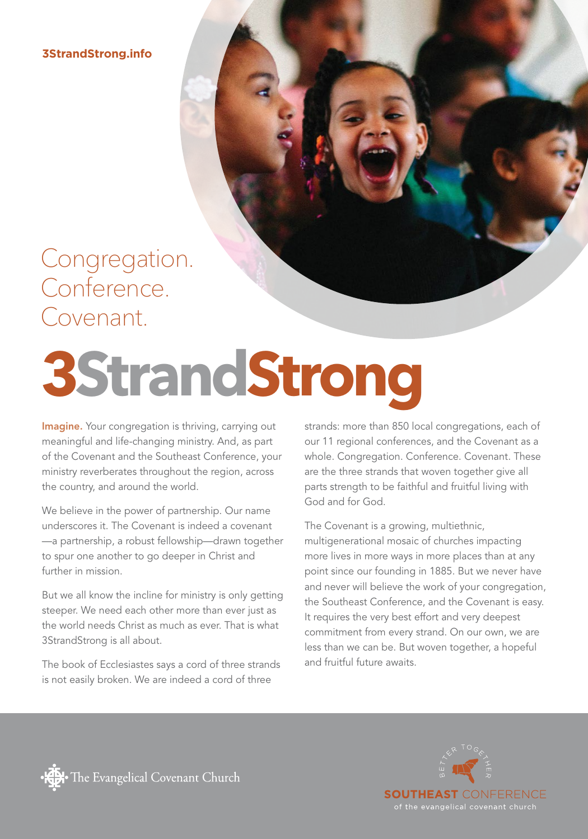**3StrandStrong.info**

### Congregation. Conference. Covenant.

# **3StrandStrong**

Imagine. Your congregation is thriving, carrying out meaningful and life-changing ministry. And, as part of the Covenant and the Southeast Conference, your ministry reverberates throughout the region, across the country, and around the world.

We believe in the power of partnership. Our name underscores it. The Covenant is indeed a covenant —a partnership, a robust fellowship—drawn together to spur one another to go deeper in Christ and further in mission.

But we all know the incline for ministry is only getting steeper. We need each other more than ever just as the world needs Christ as much as ever. That is what 3StrandStrong is all about.

The book of Ecclesiastes says a cord of three strands is not easily broken. We are indeed a cord of three

strands: more than 850 local congregations, each of our 11 regional conferences, and the Covenant as a whole. Congregation. Conference. Covenant. These are the three strands that woven together give all parts strength to be faithful and fruitful living with God and for God.

The Covenant is a growing, multiethnic, multigenerational mosaic of churches impacting more lives in more ways in more places than at any point since our founding in 1885. But we never have and never will believe the work of your congregation, the Southeast Conference, and the Covenant is easy. It requires the very best effort and very deepest commitment from every strand. On our own, we are less than we can be. But woven together, a hopeful and fruitful future awaits.



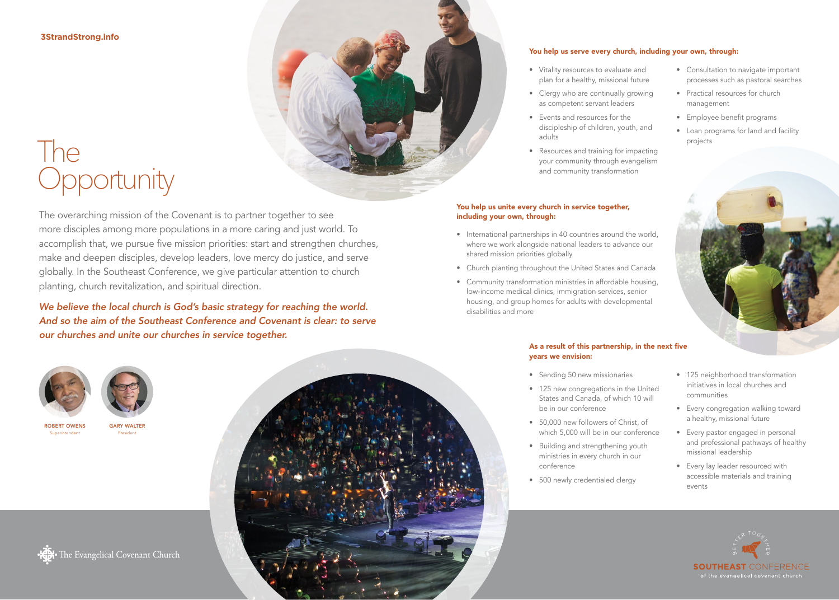#### **3StrandStrong.info**

## The **Opportunity**

The overarching mission of the Covenant is to partner together to see more disciples among more populations in a more caring and just world. To accomplish that, we pursue five mission priorities: start and strengthen churches, make and deepen disciples, develop leaders, love mercy do justice, and serve globally. In the Southeast Conference, we give particular attention to church planting, church revitalization, and spiritual direction.

*We believe the local church is God's basic strategy for reaching the world. And so the aim of the Southeast Conference and Covenant is clear: to serve our churches and unite our churches in service together.*



#### You help us serve every church, including your own, through:

- Vitality resources to evaluate and plan for a healthy, missional future
- Clergy who are continually growing as competent servant leaders
- Events and resources for the discipleship of children, youth, and adults
- Resources and training for impacting your community through evangelism and community transformation

#### You help us unite every church in service together, including your own, through:

- International partnerships in 40 countries around the world, where we work alongside national leaders to advance our shared mission priorities globally
- Church planting throughout the United States and Canada
- Community transformation ministries in affordable housing, low-income medical clinics, immigration services, senior housing, and group homes for adults with developmental disabilities and more

#### As a result of this partnership, in the next five years we envision:

- Sending 50 new missionaries
- 125 new congregations in the United States and Canada, of which 10 will be in our conference
- 50,000 new followers of Christ, of which 5,000 will be in our conference
- Building and strengthening youth ministries in every church in our conference
- 500 newly credentialed clergy

• 125 neighborhood transformation initiatives in local churches and communities

• Consultation to navigate important processes such as pastoral searches

• Practical resources for church

• Employee benefit programs

• Loan programs for land and facility

management

projects

- Every congregation walking toward a healthy, missional future
- Every pastor engaged in personal and professional pathways of healthy missional leadership
- Every lay leader resourced with accessible materials and training events





GARY WALTER President

ROBERT OWENS Superintendent